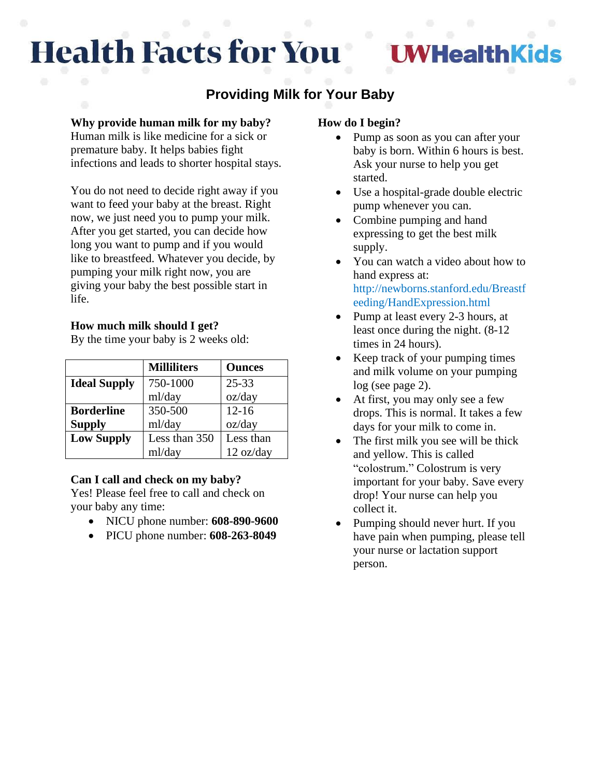# **Health Facts for You**

## **HealthKids**

### **Providing Milk for Your Baby**

#### **Why provide human milk for my baby?**

Human milk is like medicine for a sick or premature baby. It helps babies fight infections and leads to shorter hospital stays.

You do not need to decide right away if you want to feed your baby at the breast. Right now, we just need you to pump your milk. After you get started, you can decide how long you want to pump and if you would like to breastfeed. Whatever you decide, by pumping your milk right now, you are giving your baby the best possible start in life.

#### **How much milk should I get?**

By the time your baby is 2 weeks old:

|                     | <b>Milliliters</b> | <b>Ounces</b> |
|---------------------|--------------------|---------------|
| <b>Ideal Supply</b> | 750-1000           | $25 - 33$     |
|                     | ml/day             | oz/day        |
| <b>Borderline</b>   | 350-500            | $12 - 16$     |
| <b>Supply</b>       | ml/day             | oz/day        |
| <b>Low Supply</b>   | Less than 350      | Less than     |
|                     | ml/day             | 12 oz/day     |

#### **Can I call and check on my baby?**

Yes! Please feel free to call and check on your baby any time:

- NICU phone number: **608-890-9600**
- PICU phone number: **608-263-8049**

#### **How do I begin?**

- Pump as soon as you can after your baby is born. Within 6 hours is best. Ask your nurse to help you get started.
- Use a hospital-grade double electric pump whenever you can.
- Combine pumping and hand expressing to get the best milk supply.
- You can watch a video about how to hand express at: http://newborns.stanford.edu/Breastf eeding/HandExpression.html
- Pump at least every 2-3 hours, at least once during the night. (8-12 times in 24 hours).
- Keep track of your pumping times and milk volume on your pumping log (see page 2).
- At first, you may only see a few drops. This is normal. It takes a few days for your milk to come in.
- The first milk you see will be thick and yellow. This is called "colostrum." Colostrum is very important for your baby. Save every drop! Your nurse can help you collect it.
- Pumping should never hurt. If you have pain when pumping, please tell your nurse or lactation support person.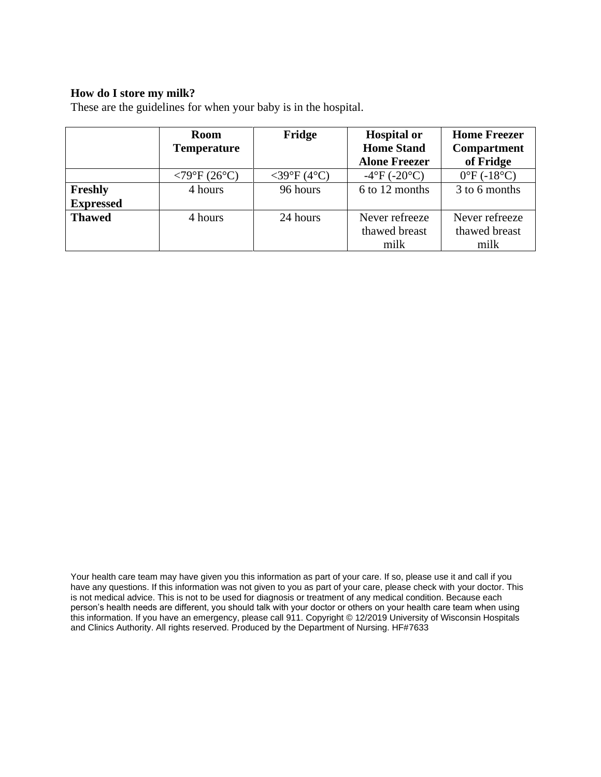#### **How do I store my milk?**

These are the guidelines for when your baby is in the hospital.

|                  | <b>Room</b>                 | Fridge         | <b>Hospital or</b>   | <b>Home Freezer</b>        |
|------------------|-----------------------------|----------------|----------------------|----------------------------|
|                  | <b>Temperature</b>          |                | <b>Home Stand</b>    | <b>Compartment</b>         |
|                  |                             |                | <b>Alone Freezer</b> | of Fridge                  |
|                  | $<79^{\circ}F(26^{\circ}C)$ | $<$ 39°F (4°C) | $-4$ °F ( $-20$ °C)  | $0^{\circ}F(-18^{\circ}C)$ |
| Freshly          | 4 hours                     | 96 hours       | 6 to 12 months       | 3 to 6 months              |
| <b>Expressed</b> |                             |                |                      |                            |
| <b>Thawed</b>    | 4 hours                     | 24 hours       | Never refreeze       | Never refreeze             |
|                  |                             |                | thawed breast        | thawed breast              |
|                  |                             |                | milk                 | milk                       |

Your health care team may have given you this information as part of your care. If so, please use it and call if you have any questions. If this information was not given to you as part of your care, please check with your doctor. This is not medical advice. This is not to be used for diagnosis or treatment of any medical condition. Because each person's health needs are different, you should talk with your doctor or others on your health care team when using this information. If you have an emergency, please call 911. Copyright © 12/2019 University of Wisconsin Hospitals and Clinics Authority. All rights reserved. Produced by the Department of Nursing. HF#7633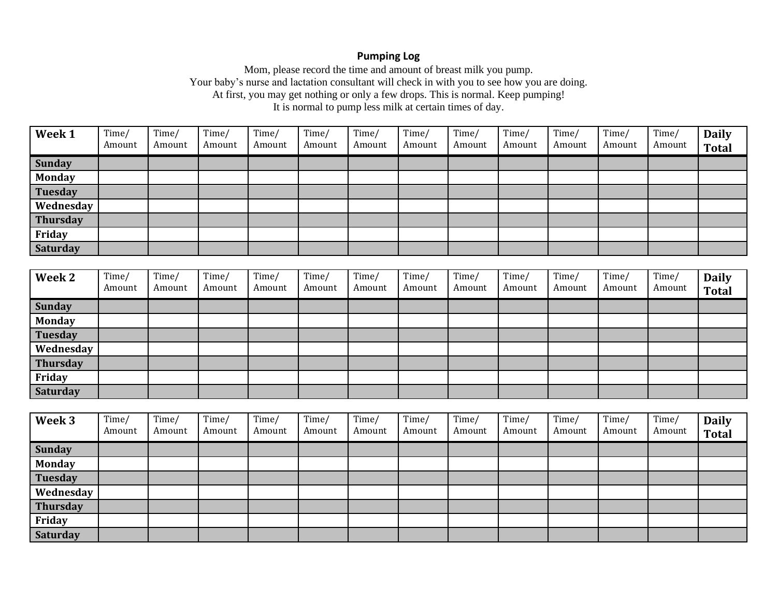#### **Pumping Log**

Mom, please record the time and amount of breast milk you pump. Your baby's nurse and lactation consultant will check in with you to see how you are doing. At first, you may get nothing or only a few drops. This is normal. Keep pumping! It is normal to pump less milk at certain times of day.

| Week 1          | Time/<br>Amount | Time/<br>Amount | Time/<br>Amount | Time/<br>Amount | Time/<br>Amount | Time/<br>Amount | Time/<br>Amount | Time/<br>Amount | Time/<br>Amount | Time/<br>Amount | Time/<br>Amount | Time/<br>Amount | <b>Daily</b><br><b>Total</b> |
|-----------------|-----------------|-----------------|-----------------|-----------------|-----------------|-----------------|-----------------|-----------------|-----------------|-----------------|-----------------|-----------------|------------------------------|
| <b>Sunday</b>   |                 |                 |                 |                 |                 |                 |                 |                 |                 |                 |                 |                 |                              |
| <b>Monday</b>   |                 |                 |                 |                 |                 |                 |                 |                 |                 |                 |                 |                 |                              |
| <b>Tuesday</b>  |                 |                 |                 |                 |                 |                 |                 |                 |                 |                 |                 |                 |                              |
| Wednesday       |                 |                 |                 |                 |                 |                 |                 |                 |                 |                 |                 |                 |                              |
| <b>Thursday</b> |                 |                 |                 |                 |                 |                 |                 |                 |                 |                 |                 |                 |                              |
| Friday          |                 |                 |                 |                 |                 |                 |                 |                 |                 |                 |                 |                 |                              |
| Saturday        |                 |                 |                 |                 |                 |                 |                 |                 |                 |                 |                 |                 |                              |

| Week 2          | Time/<br>Amount | Time/<br>Amount | Time/<br>Amount | Time/<br>Amount | Time/<br>Amount | Time/<br>Amount | Time/<br>Amount | Time/<br>Amount | Time/<br>Amount | Time/<br>Amount | Time/<br>Amount | Time<br>Amount | <b>Daily</b><br><b>Total</b> |
|-----------------|-----------------|-----------------|-----------------|-----------------|-----------------|-----------------|-----------------|-----------------|-----------------|-----------------|-----------------|----------------|------------------------------|
| <b>Sunday</b>   |                 |                 |                 |                 |                 |                 |                 |                 |                 |                 |                 |                |                              |
| <b>Monday</b>   |                 |                 |                 |                 |                 |                 |                 |                 |                 |                 |                 |                |                              |
| <b>Tuesday</b>  |                 |                 |                 |                 |                 |                 |                 |                 |                 |                 |                 |                |                              |
| Wednesday       |                 |                 |                 |                 |                 |                 |                 |                 |                 |                 |                 |                |                              |
| <b>Thursday</b> |                 |                 |                 |                 |                 |                 |                 |                 |                 |                 |                 |                |                              |
| Friday          |                 |                 |                 |                 |                 |                 |                 |                 |                 |                 |                 |                |                              |
| <b>Saturday</b> |                 |                 |                 |                 |                 |                 |                 |                 |                 |                 |                 |                |                              |

| Week 3          | Time/<br>Amount | Time/<br>Amount | Time/<br>Amount | Time/<br>Amount | Time/<br>Amount | Time/<br>Amount | Time/<br>Amount | Time/<br>Amount | Time/<br>Amount | Time/<br>Amount | Time/<br>Amount | Time/<br>Amount | <b>Daily</b><br><b>Total</b> |
|-----------------|-----------------|-----------------|-----------------|-----------------|-----------------|-----------------|-----------------|-----------------|-----------------|-----------------|-----------------|-----------------|------------------------------|
| Sunday          |                 |                 |                 |                 |                 |                 |                 |                 |                 |                 |                 |                 |                              |
| <b>Monday</b>   |                 |                 |                 |                 |                 |                 |                 |                 |                 |                 |                 |                 |                              |
| Tuesday         |                 |                 |                 |                 |                 |                 |                 |                 |                 |                 |                 |                 |                              |
| Wednesday       |                 |                 |                 |                 |                 |                 |                 |                 |                 |                 |                 |                 |                              |
| Thursday        |                 |                 |                 |                 |                 |                 |                 |                 |                 |                 |                 |                 |                              |
| Friday          |                 |                 |                 |                 |                 |                 |                 |                 |                 |                 |                 |                 |                              |
| <b>Saturday</b> |                 |                 |                 |                 |                 |                 |                 |                 |                 |                 |                 |                 |                              |